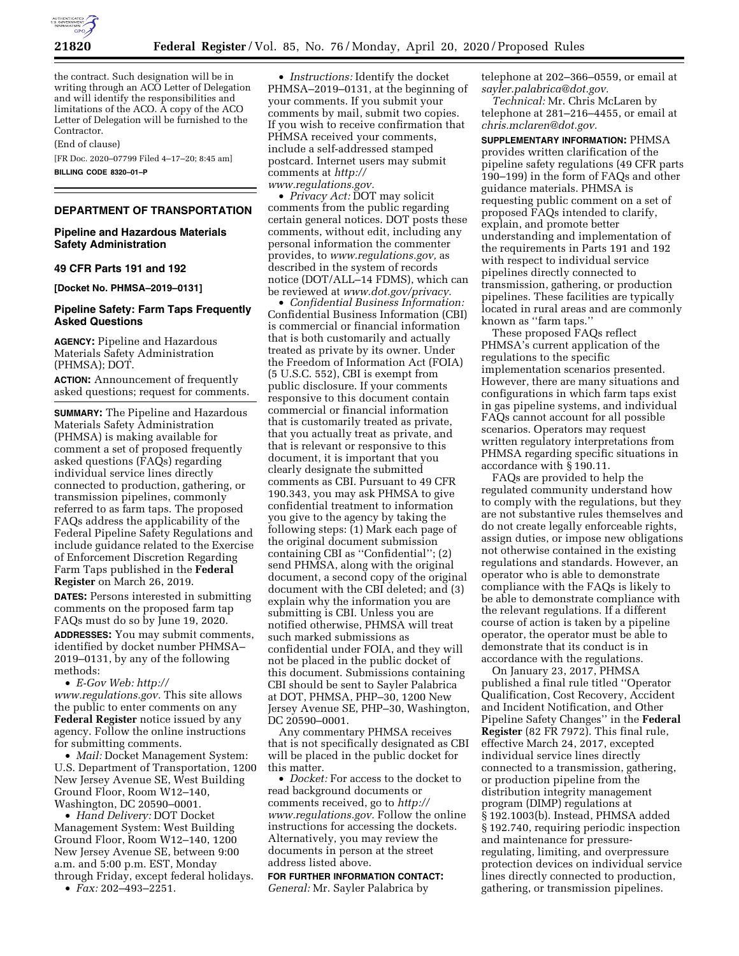

the contract. Such designation will be in writing through an ACO Letter of Delegation and will identify the responsibilities and limitations of the ACO. A copy of the ACO Letter of Delegation will be furnished to the Contractor.

(End of clause)

[FR Doc. 2020–07799 Filed 4–17–20; 8:45 am] **BILLING CODE 8320–01–P** 

## **DEPARTMENT OF TRANSPORTATION**

**Pipeline and Hazardous Materials Safety Administration** 

#### **49 CFR Parts 191 and 192**

**[Docket No. PHMSA–2019–0131]** 

## **Pipeline Safety: Farm Taps Frequently Asked Questions**

**AGENCY:** Pipeline and Hazardous Materials Safety Administration (PHMSA); DOT.

**ACTION:** Announcement of frequently asked questions; request for comments.

**SUMMARY:** The Pipeline and Hazardous Materials Safety Administration (PHMSA) is making available for comment a set of proposed frequently asked questions (FAQs) regarding individual service lines directly connected to production, gathering, or transmission pipelines, commonly referred to as farm taps. The proposed FAQs address the applicability of the Federal Pipeline Safety Regulations and include guidance related to the Exercise of Enforcement Discretion Regarding Farm Taps published in the **Federal Register** on March 26, 2019.

**DATES:** Persons interested in submitting comments on the proposed farm tap FAQs must do so by June 19, 2020.

**ADDRESSES:** You may submit comments, identified by docket number PHMSA– 2019–0131, by any of the following methods:

• *E-Gov Web: [http://](http://www.regulations.gov) [www.regulations.gov.](http://www.regulations.gov)* This site allows the public to enter comments on any **Federal Register** notice issued by any agency. Follow the online instructions for submitting comments.

• *Mail:* Docket Management System: U.S. Department of Transportation, 1200 New Jersey Avenue SE, West Building Ground Floor, Room W12–140, Washington, DC 20590–0001.

• *Hand Delivery:* DOT Docket Management System: West Building Ground Floor, Room W12–140, 1200 New Jersey Avenue SE, between 9:00 a.m. and 5:00 p.m. EST, Monday through Friday, except federal holidays.

• *Fax:* 202–493–2251.

• *Instructions:* Identify the docket PHMSA–2019–0131, at the beginning of your comments. If you submit your comments by mail, submit two copies. If you wish to receive confirmation that PHMSA received your comments, include a self-addressed stamped postcard. Internet users may submit comments at *[http://](http://www.regulations.gov) [www.regulations.gov.](http://www.regulations.gov)* 

• *Privacy Act:* DOT may solicit comments from the public regarding certain general notices. DOT posts these comments, without edit, including any personal information the commenter provides, to *[www.regulations.gov,](http://www.regulations.gov)* as described in the system of records notice (DOT/ALL–14 FDMS), which can be reviewed at *[www.dot.gov/privacy.](http://www.dot.gov/privacy)* 

• *Confidential Business Information:*  Confidential Business Information (CBI) is commercial or financial information that is both customarily and actually treated as private by its owner. Under the Freedom of Information Act (FOIA) (5 U.S.C. 552), CBI is exempt from public disclosure. If your comments responsive to this document contain commercial or financial information that is customarily treated as private, that you actually treat as private, and that is relevant or responsive to this document, it is important that you clearly designate the submitted comments as CBI. Pursuant to 49 CFR 190.343, you may ask PHMSA to give confidential treatment to information you give to the agency by taking the following steps: (1) Mark each page of the original document submission containing CBI as ''Confidential''; (2) send PHMSA, along with the original document, a second copy of the original document with the CBI deleted; and (3) explain why the information you are submitting is CBI. Unless you are notified otherwise, PHMSA will treat such marked submissions as confidential under FOIA, and they will not be placed in the public docket of this document. Submissions containing CBI should be sent to Sayler Palabrica at DOT, PHMSA, PHP–30, 1200 New Jersey Avenue SE, PHP–30, Washington, DC 20590–0001.

Any commentary PHMSA receives that is not specifically designated as CBI will be placed in the public docket for this matter.

• *Docket:* For access to the docket to read background documents or comments received, go to *[http://](http://www.regulations.gov) [www.regulations.gov.](http://www.regulations.gov)* Follow the online instructions for accessing the dockets. Alternatively, you may review the documents in person at the street address listed above.

# **FOR FURTHER INFORMATION CONTACT:**

*General:* Mr. Sayler Palabrica by

telephone at 202–366–0559, or email at *[sayler.palabrica@dot.gov.](mailto:sayler.palabrica@dot.gov)* 

*Technical:* Mr. Chris McLaren by telephone at 281–216–4455, or email at *[chris.mclaren@dot.gov.](mailto:chris.mclaren@dot.gov)* 

**SUPPLEMENTARY INFORMATION:** PHMSA provides written clarification of the pipeline safety regulations (49 CFR parts 190–199) in the form of FAQs and other guidance materials. PHMSA is requesting public comment on a set of proposed FAQs intended to clarify, explain, and promote better understanding and implementation of the requirements in Parts 191 and 192 with respect to individual service pipelines directly connected to transmission, gathering, or production pipelines. These facilities are typically located in rural areas and are commonly known as ''farm taps.''

These proposed FAQs reflect PHMSA's current application of the regulations to the specific implementation scenarios presented. However, there are many situations and configurations in which farm taps exist in gas pipeline systems, and individual FAQs cannot account for all possible scenarios. Operators may request written regulatory interpretations from PHMSA regarding specific situations in accordance with § 190.11.

FAQs are provided to help the regulated community understand how to comply with the regulations, but they are not substantive rules themselves and do not create legally enforceable rights, assign duties, or impose new obligations not otherwise contained in the existing regulations and standards. However, an operator who is able to demonstrate compliance with the FAQs is likely to be able to demonstrate compliance with the relevant regulations. If a different course of action is taken by a pipeline operator, the operator must be able to demonstrate that its conduct is in accordance with the regulations.

On January 23, 2017, PHMSA published a final rule titled ''Operator Qualification, Cost Recovery, Accident and Incident Notification, and Other Pipeline Safety Changes'' in the **Federal Register** (82 FR 7972). This final rule, effective March 24, 2017, excepted individual service lines directly connected to a transmission, gathering, or production pipeline from the distribution integrity management program (DIMP) regulations at § 192.1003(b). Instead, PHMSA added § 192.740, requiring periodic inspection and maintenance for pressureregulating, limiting, and overpressure protection devices on individual service lines directly connected to production, gathering, or transmission pipelines.